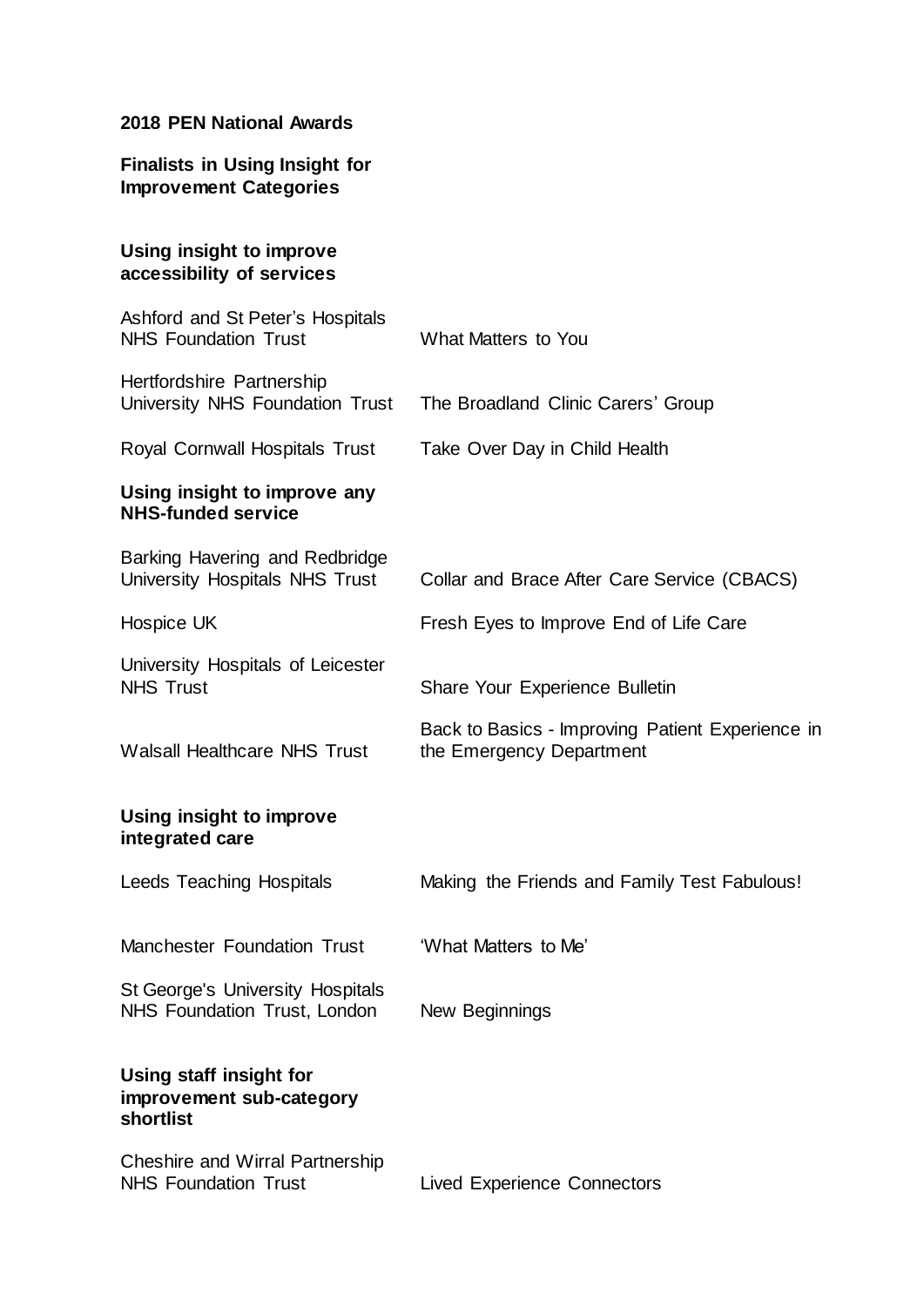# **2018 PEN National Awards**

| <b>Finalists in Using Insight for</b><br><b>Improvement Categories</b> |                                                                              |
|------------------------------------------------------------------------|------------------------------------------------------------------------------|
| Using insight to improve<br>accessibility of services                  |                                                                              |
| Ashford and St Peter's Hospitals<br><b>NHS Foundation Trust</b>        | What Matters to You                                                          |
| Hertfordshire Partnership<br>University NHS Foundation Trust           | The Broadland Clinic Carers' Group                                           |
| Royal Cornwall Hospitals Trust                                         | Take Over Day in Child Health                                                |
| Using insight to improve any<br><b>NHS-funded service</b>              |                                                                              |
| Barking Havering and Redbridge<br>University Hospitals NHS Trust       | Collar and Brace After Care Service (CBACS)                                  |
| Hospice UK                                                             | Fresh Eyes to Improve End of Life Care                                       |
| University Hospitals of Leicester<br><b>NHS Trust</b>                  | <b>Share Your Experience Bulletin</b>                                        |
| <b>Walsall Healthcare NHS Trust</b>                                    | Back to Basics - Improving Patient Experience in<br>the Emergency Department |
| Using insight to improve<br>integrated care                            |                                                                              |
| <b>Leeds Teaching Hospitals</b>                                        | Making the Friends and Family Test Fabulous!                                 |
| <b>Manchester Foundation Trust</b>                                     | 'What Matters to Me'                                                         |
| St George's University Hospitals<br>NHS Foundation Trust, London       | New Beginnings                                                               |
| Using staff insight for<br>improvement sub-category<br>shortlist       |                                                                              |
| <b>Cheshire and Wirral Partnership</b>                                 |                                                                              |

NHS Foundation Trust **Lived Experience Connectors**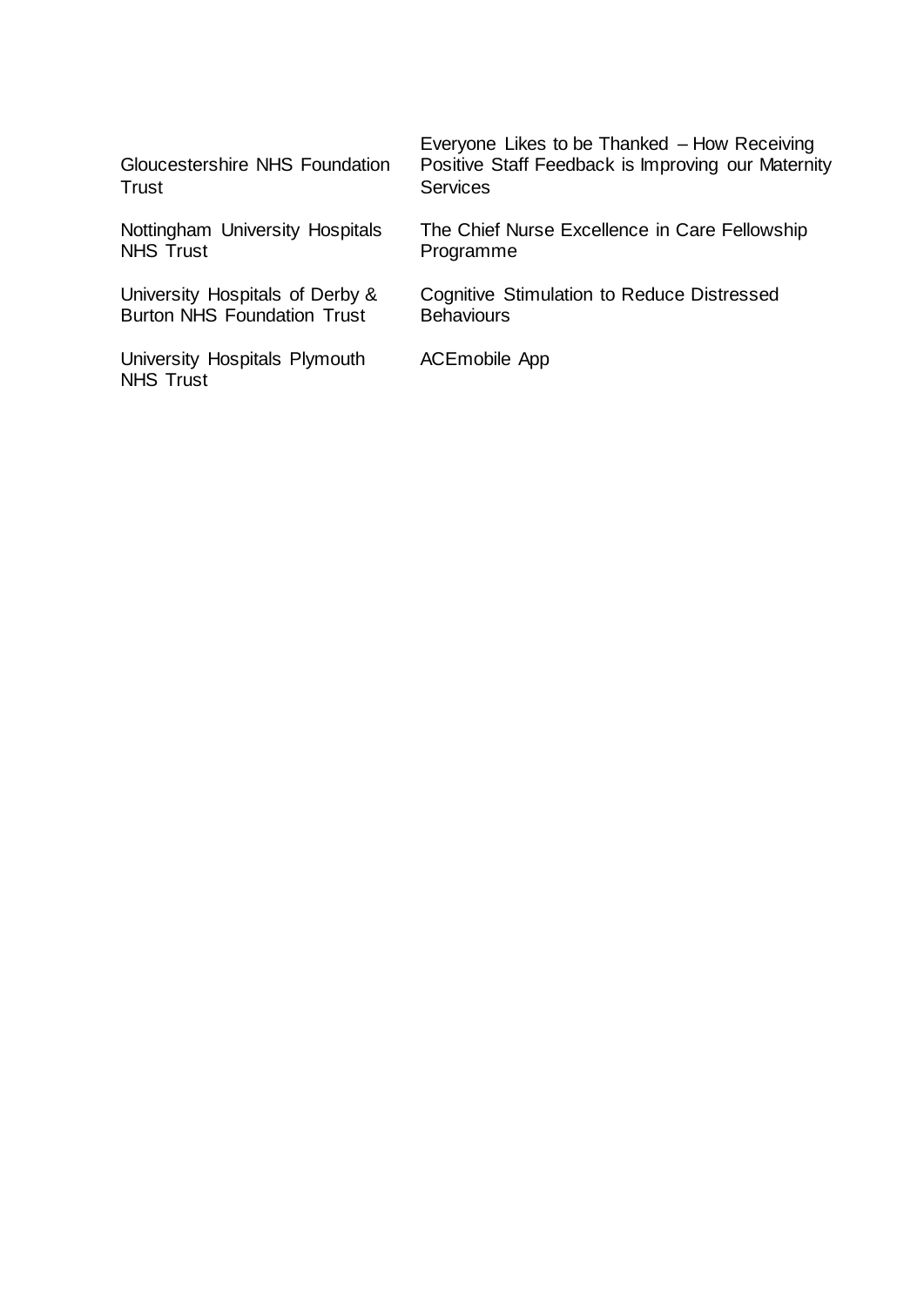Gloucestershire NHS Foundation **Trust** 

Nottingham University Hospitals NHS Trust

University Hospitals of Derby & Burton NHS Foundation Trust

University Hospitals Plymouth NHS Trust

Everyone Likes to be Thanked – How Receiving Positive Staff Feedback is Improving our Maternity **Services** 

The Chief Nurse Excellence in Care Fellowship Programme

Cognitive Stimulation to Reduce Distressed **Behaviours** 

ACEmobile App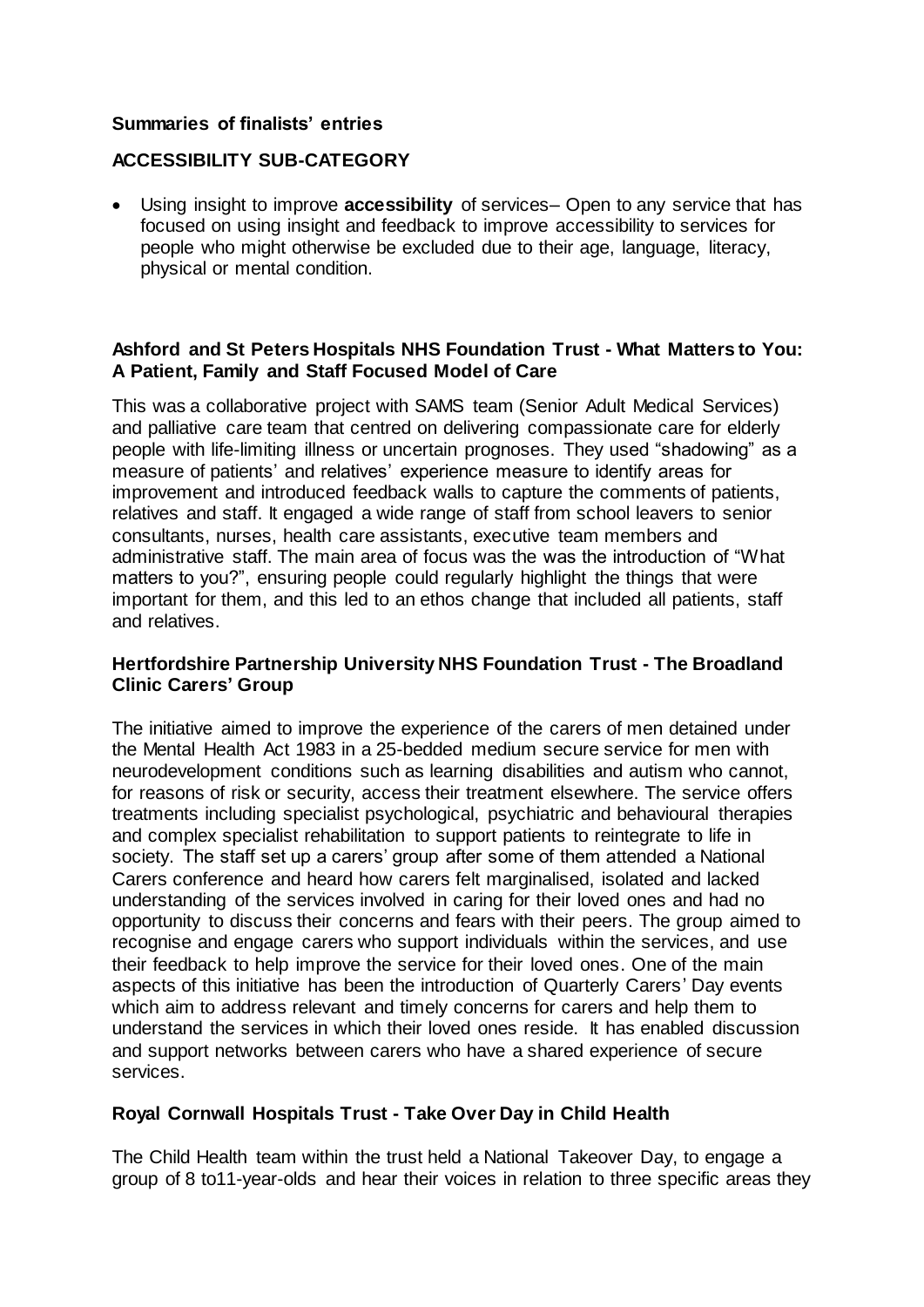### **Summaries of finalists' entries**

## **ACCESSIBILITY SUB-CATEGORY**

• Using insight to improve **accessibility** of services– Open to any service that has focused on using insight and feedback to improve accessibility to services for people who might otherwise be excluded due to their age, language, literacy, physical or mental condition.

### **Ashford and St Peters Hospitals NHS Foundation Trust - What Matters to You: A Patient, Family and Staff Focused Model of Care**

This was a collaborative project with SAMS team (Senior Adult Medical Services) and palliative care team that centred on delivering compassionate care for elderly people with life-limiting illness or uncertain prognoses. They used "shadowing" as a measure of patients' and relatives' experience measure to identify areas for improvement and introduced feedback walls to capture the comments of patients, relatives and staff. It engaged a wide range of staff from school leavers to senior consultants, nurses, health care assistants, executive team members and administrative staff. The main area of focus was the was the introduction of "What matters to you?", ensuring people could regularly highlight the things that were important for them, and this led to an ethos change that included all patients, staff and relatives.

### **Hertfordshire Partnership University NHS Foundation Trust - The Broadland Clinic Carers' Group**

The initiative aimed to improve the experience of the carers of men detained under the Mental Health Act 1983 in a 25-bedded medium secure service for men with neurodevelopment conditions such as learning disabilities and autism who cannot, for reasons of risk or security, access their treatment elsewhere. The service offers treatments including specialist psychological, psychiatric and behavioural therapies and complex specialist rehabilitation to support patients to reintegrate to life in society. The staff set up a carers' group after some of them attended a National Carers conference and heard how carers felt marginalised, isolated and lacked understanding of the services involved in caring for their loved ones and had no opportunity to discuss their concerns and fears with their peers. The group aimed to recognise and engage carers who support individuals within the services, and use their feedback to help improve the service for their loved ones. One of the main aspects of this initiative has been the introduction of Quarterly Carers' Day events which aim to address relevant and timely concerns for carers and help them to understand the services in which their loved ones reside. It has enabled discussion and support networks between carers who have a shared experience of secure services.

### **Royal Cornwall Hospitals Trust - Take Over Day in Child Health**

The Child Health team within the trust held a National Takeover Day, to engage a group of 8 to11-year-olds and hear their voices in relation to three specific areas they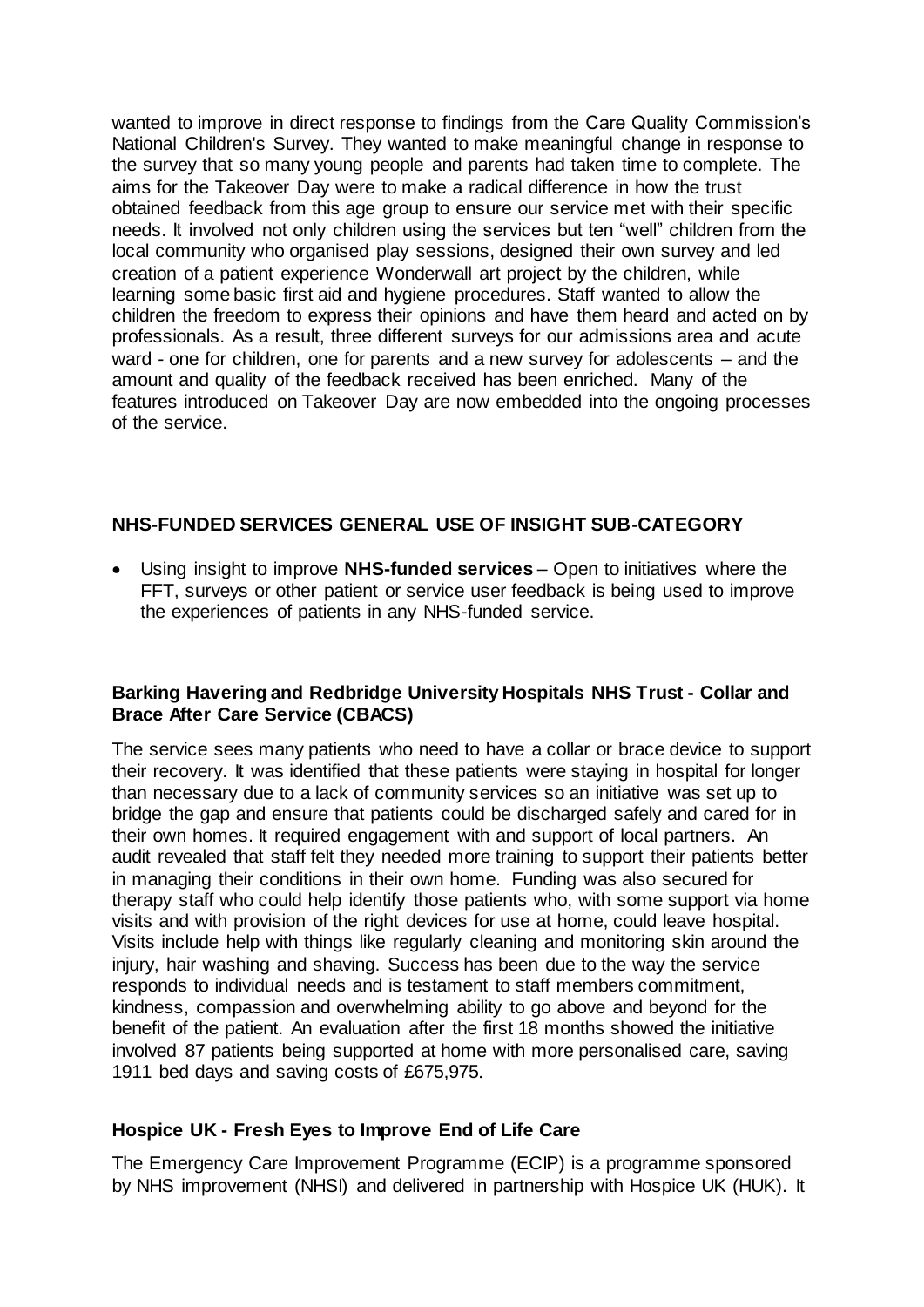wanted to improve in direct response to findings from the Care Quality Commission's National Children's Survey. They wanted to make meaningful change in response to the survey that so many young people and parents had taken time to complete. The aims for the Takeover Day were to make a radical difference in how the trust obtained feedback from this age group to ensure our service met with their specific needs. It involved not only children using the services but ten "well" children from the local community who organised play sessions, designed their own survey and led creation of a patient experience Wonderwall art project by the children, while learning some basic first aid and hygiene procedures. Staff wanted to allow the children the freedom to express their opinions and have them heard and acted on by professionals. As a result, three different surveys for our admissions area and acute ward - one for children, one for parents and a new survey for adolescents – and the amount and quality of the feedback received has been enriched. Many of the features introduced on Takeover Day are now embedded into the ongoing processes of the service.

# **NHS-FUNDED SERVICES GENERAL USE OF INSIGHT SUB-CATEGORY**

• Using insight to improve **NHS-funded services** – Open to initiatives where the FFT, surveys or other patient or service user feedback is being used to improve the experiences of patients in any NHS-funded service.

## **Barking Havering and Redbridge University Hospitals NHS Trust - Collar and Brace After Care Service (CBACS)**

The service sees many patients who need to have a collar or brace device to support their recovery. It was identified that these patients were staying in hospital for longer than necessary due to a lack of community services so an initiative was set up to bridge the gap and ensure that patients could be discharged safely and cared for in their own homes. It required engagement with and support of local partners. An audit revealed that staff felt they needed more training to support their patients better in managing their conditions in their own home. Funding was also secured for therapy staff who could help identify those patients who, with some support via home visits and with provision of the right devices for use at home, could leave hospital. Visits include help with things like regularly cleaning and monitoring skin around the injury, hair washing and shaving. Success has been due to the way the service responds to individual needs and is testament to staff members commitment, kindness, compassion and overwhelming ability to go above and beyond for the benefit of the patient. An evaluation after the first 18 months showed the initiative involved 87 patients being supported at home with more personalised care, saving 1911 bed days and saving costs of £675,975.

# **Hospice UK - Fresh Eyes to Improve End of Life Care**

The Emergency Care Improvement Programme (ECIP) is a programme sponsored by NHS improvement (NHSI) and delivered in partnership with Hospice UK (HUK). It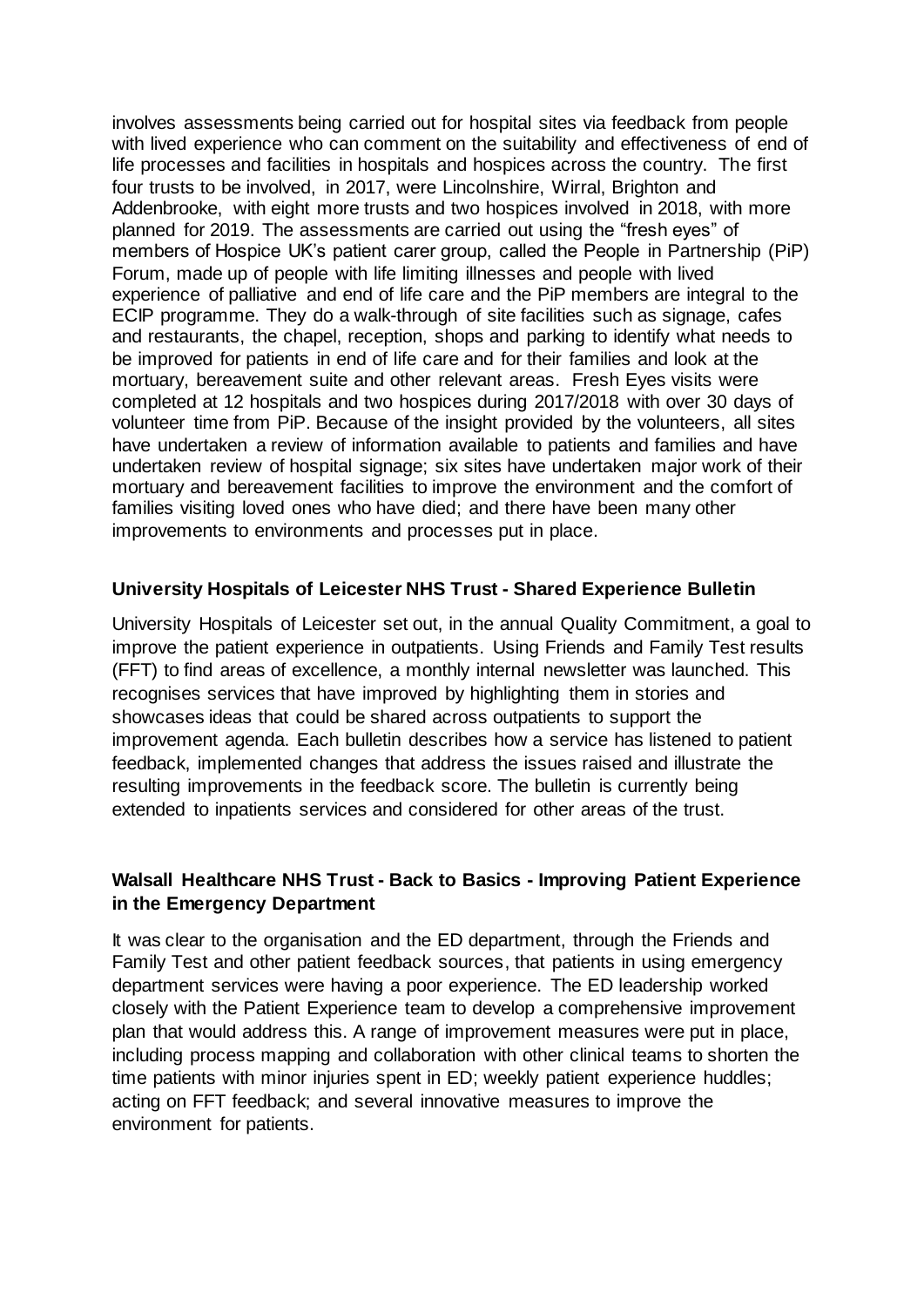involves assessments being carried out for hospital sites via feedback from people with lived experience who can comment on the suitability and effectiveness of end of life processes and facilities in hospitals and hospices across the country. The first four trusts to be involved, in 2017, were Lincolnshire, Wirral, Brighton and Addenbrooke, with eight more trusts and two hospices involved in 2018, with more planned for 2019. The assessments are carried out using the "fresh eyes" of members of Hospice UK's patient carer group, called the People in Partnership (PiP) Forum, made up of people with life limiting illnesses and people with lived experience of palliative and end of life care and the PiP members are integral to the ECIP programme. They do a walk-through of site facilities such as signage, cafes and restaurants, the chapel, reception, shops and parking to identify what needs to be improved for patients in end of life care and for their families and look at the mortuary, bereavement suite and other relevant areas. Fresh Eyes visits were completed at 12 hospitals and two hospices during 2017/2018 with over 30 days of volunteer time from PiP. Because of the insight provided by the volunteers, all sites have undertaken a review of information available to patients and families and have undertaken review of hospital signage; six sites have undertaken major work of their mortuary and bereavement facilities to improve the environment and the comfort of families visiting loved ones who have died; and there have been many other improvements to environments and processes put in place.

#### **University Hospitals of Leicester NHS Trust - Shared Experience Bulletin**

University Hospitals of Leicester set out, in the annual Quality Commitment, a goal to improve the patient experience in outpatients. Using Friends and Family Test results (FFT) to find areas of excellence, a monthly internal newsletter was launched. This recognises services that have improved by highlighting them in stories and showcases ideas that could be shared across outpatients to support the improvement agenda. Each bulletin describes how a service has listened to patient feedback, implemented changes that address the issues raised and illustrate the resulting improvements in the feedback score. The bulletin is currently being extended to inpatients services and considered for other areas of the trust.

## **Walsall Healthcare NHS Trust - Back to Basics - Improving Patient Experience in the Emergency Department**

It was clear to the organisation and the ED department, through the Friends and Family Test and other patient feedback sources, that patients in using emergency department services were having a poor experience. The ED leadership worked closely with the Patient Experience team to develop a comprehensive improvement plan that would address this. A range of improvement measures were put in place, including process mapping and collaboration with other clinical teams to shorten the time patients with minor injuries spent in ED; weekly patient experience huddles; acting on FFT feedback; and several innovative measures to improve the environment for patients.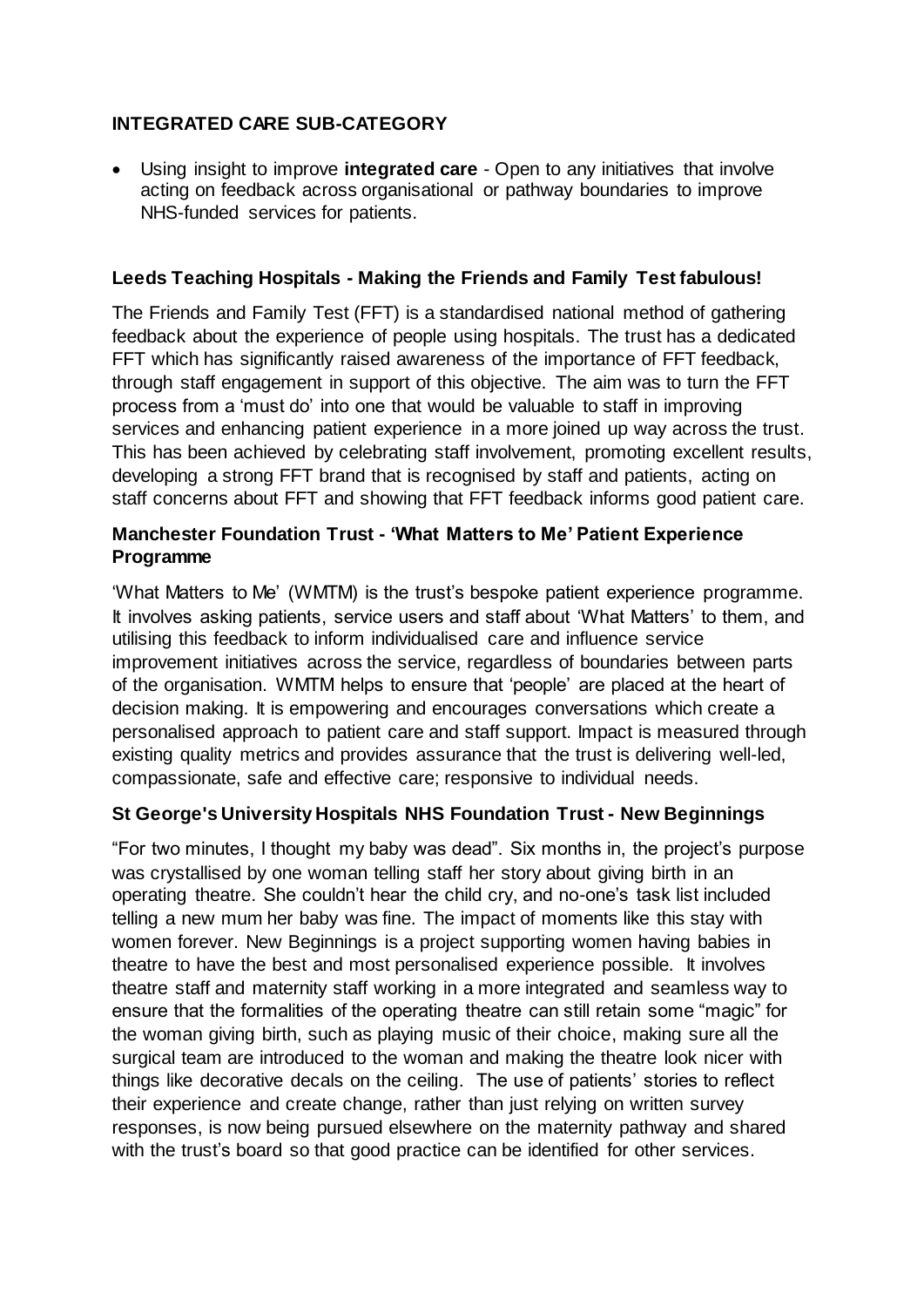# **INTEGRATED CARE SUB-CATEGORY**

• Using insight to improve **integrated care** - Open to any initiatives that involve acting on feedback across organisational or pathway boundaries to improve NHS-funded services for patients.

## **Leeds Teaching Hospitals - Making the Friends and Family Test fabulous!**

The Friends and Family Test (FFT) is a standardised national method of gathering feedback about the experience of people using hospitals. The trust has a dedicated FFT which has significantly raised awareness of the importance of FFT feedback, through staff engagement in support of this objective. The aim was to turn the FFT process from a 'must do' into one that would be valuable to staff in improving services and enhancing patient experience in a more joined up way across the trust. This has been achieved by celebrating staff involvement, promoting excellent results, developing a strong FFT brand that is recognised by staff and patients, acting on staff concerns about FFT and showing that FFT feedback informs good patient care.

## **Manchester Foundation Trust - 'What Matters to Me' Patient Experience Programme**

'What Matters to Me' (WMTM) is the trust's bespoke patient experience programme. It involves asking patients, service users and staff about 'What Matters' to them, and utilising this feedback to inform individualised care and influence service improvement initiatives across the service, regardless of boundaries between parts of the organisation. WMTM helps to ensure that 'people' are placed at the heart of decision making. It is empowering and encourages conversations which create a personalised approach to patient care and staff support. Impact is measured through existing quality metrics and provides assurance that the trust is delivering well-led, compassionate, safe and effective care; responsive to individual needs.

### **St George's University Hospitals NHS Foundation Trust - New Beginnings**

"For two minutes, I thought my baby was dead". Six months in, the project's purpose was crystallised by one woman telling staff her story about giving birth in an operating theatre. She couldn't hear the child cry, and no-one's task list included telling a new mum her baby was fine. The impact of moments like this stay with women forever. New Beginnings is a project supporting women having babies in theatre to have the best and most personalised experience possible. It involves theatre staff and maternity staff working in a more integrated and seamless way to ensure that the formalities of the operating theatre can still retain some "magic" for the woman giving birth, such as playing music of their choice, making sure all the surgical team are introduced to the woman and making the theatre look nicer with things like decorative decals on the ceiling. The use of patients' stories to reflect their experience and create change, rather than just relying on written survey responses, is now being pursued elsewhere on the maternity pathway and shared with the trust's board so that good practice can be identified for other services.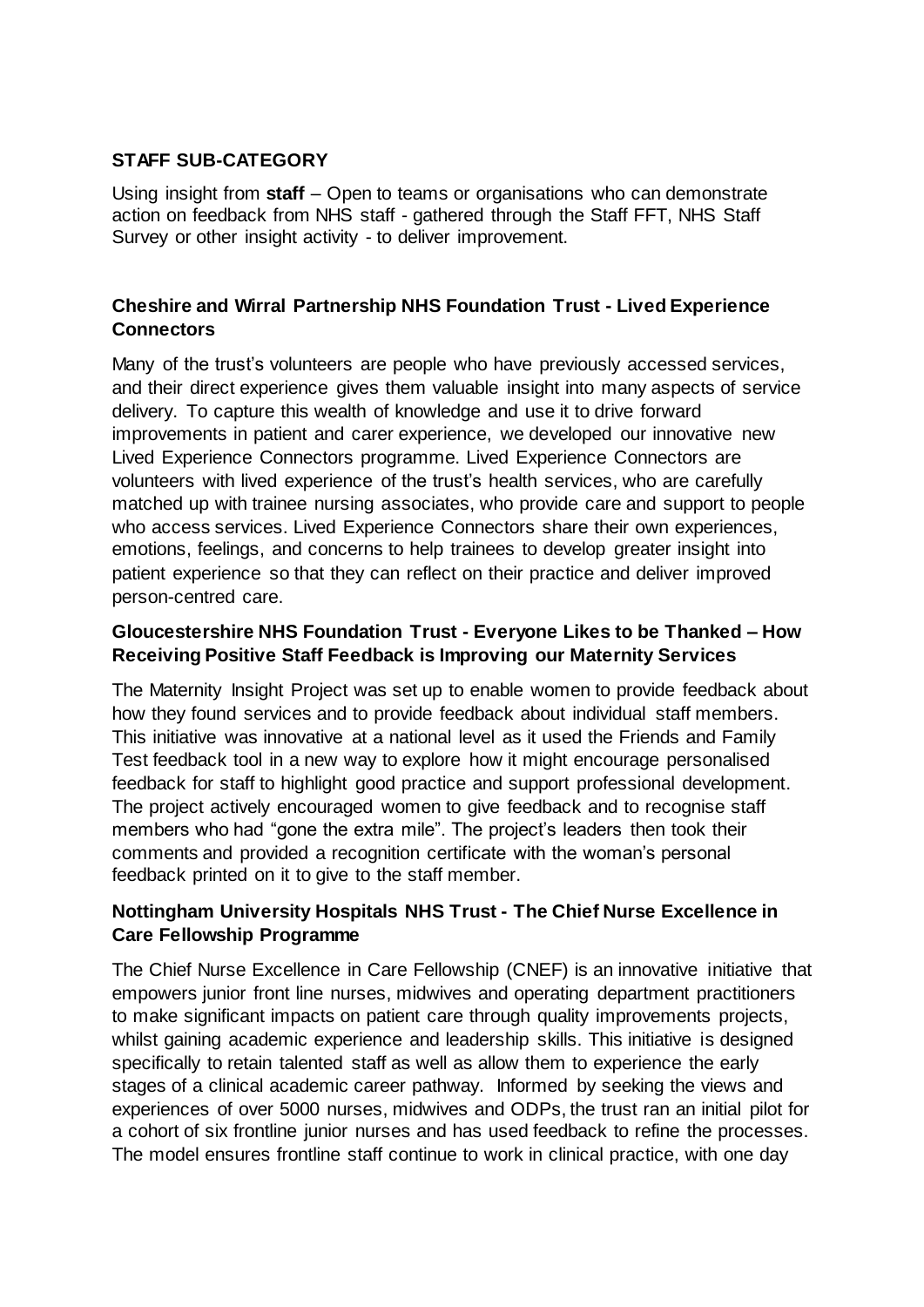# **STAFF SUB-CATEGORY**

Using insight from **staff** – Open to teams or organisations who can demonstrate action on feedback from NHS staff - gathered through the Staff FFT, NHS Staff Survey or other insight activity - to deliver improvement.

# **Cheshire and Wirral Partnership NHS Foundation Trust - Lived Experience Connectors**

Many of the trust's volunteers are people who have previously accessed services, and their direct experience gives them valuable insight into many aspects of service delivery. To capture this wealth of knowledge and use it to drive forward improvements in patient and carer experience, we developed our innovative new Lived Experience Connectors programme. Lived Experience Connectors are volunteers with lived experience of the trust's health services, who are carefully matched up with trainee nursing associates, who provide care and support to people who access services. Lived Experience Connectors share their own experiences, emotions, feelings, and concerns to help trainees to develop greater insight into patient experience so that they can reflect on their practice and deliver improved person-centred care.

## **Gloucestershire NHS Foundation Trust - Everyone Likes to be Thanked – How Receiving Positive Staff Feedback is Improving our Maternity Services**

The Maternity Insight Project was set up to enable women to provide feedback about how they found services and to provide feedback about individual staff members. This initiative was innovative at a national level as it used the Friends and Family Test feedback tool in a new way to explore how it might encourage personalised feedback for staff to highlight good practice and support professional development. The project actively encouraged women to give feedback and to recognise staff members who had "gone the extra mile". The project's leaders then took their comments and provided a recognition certificate with the woman's personal feedback printed on it to give to the staff member.

# **Nottingham University Hospitals NHS Trust - The Chief Nurse Excellence in Care Fellowship Programme**

The Chief Nurse Excellence in Care Fellowship (CNEF) is an innovative initiative that empowers junior front line nurses, midwives and operating department practitioners to make significant impacts on patient care through quality improvements projects, whilst gaining academic experience and leadership skills. This initiative is designed specifically to retain talented staff as well as allow them to experience the early stages of a clinical academic career pathway. Informed by seeking the views and experiences of over 5000 nurses, midwives and ODPs, the trust ran an initial pilot for a cohort of six frontline junior nurses and has used feedback to refine the processes. The model ensures frontline staff continue to work in clinical practice, with one day